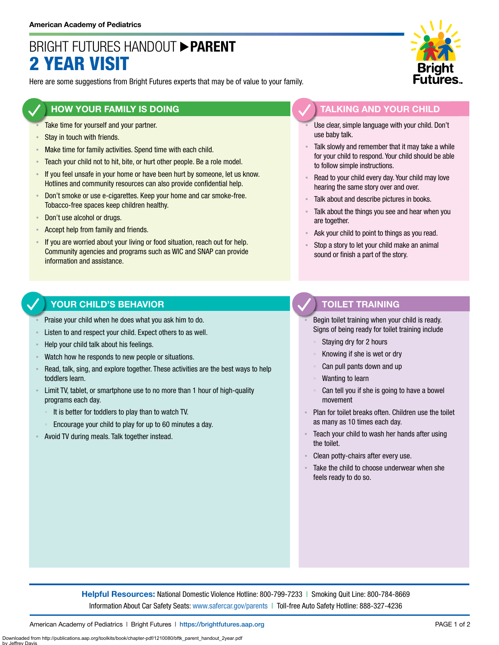# BRIGHT FUTURES HANDOUT **PARENT** 2 YEAR VISIT

Here are some suggestions from Bright Futures experts that may be of value to your family.

### **HOW YOUR FAMILY IS DOING**

- Take time for yourself and your partner.
- Stay in touch with friends.
- **EXECT** Make time for family activities. Spend time with each child.
- **EXECO** F Teach your child not to hit, bite, or hurt other people. Be a role model.
- If you feel unsafe in your home or have been hurt by someone, let us know. Hotlines and community resources can also provide confidential help.
- Don't smoke or use e-cigarettes. Keep your home and car smoke-free. Tobacco-free spaces keep children healthy.
- Don't use alcohol or drugs.
- Accept help from family and friends.
- **EXT** If you are worried about your living or food situation, reach out for help. Community agencies and programs such as WIC and SNAP can provide information and assistance.

### **YOUR CHILD'S BEHAVIOR**

- Praise your child when he does what you ask him to do.
- Listen to and respect your child. Expect others to as well.
- Help your child talk about his feelings.
- Watch how he responds to new people or situations.
- Read, talk, sing, and explore together. These activities are the best ways to help toddlers learn.
- **EXECT** Limit TV, tablet, or smartphone use to no more than 1 hour of high-quality programs each day.
	- It is better for toddlers to play than to watch TV.
	- Encourage your child to play for up to 60 minutes a day.
- Avoid TV during meals. Talk together instead.



### **TALKING AND YOUR CHILD**

- Use clear, simple language with your child. Don't use baby talk.
- Talk slowly and remember that it may take a while for your child to respond. Your child should be able to follow simple instructions.
- Read to your child every day. Your child may love hearing the same story over and over.
- Talk about and describe pictures in books.
- Talk about the things you see and hear when you are together.
- Ask your child to point to things as you read.
- Stop a story to let your child make an animal sound or finish a part of the story.

### **TOILET TRAINING**

Begin toilet training when your child is ready. Signs of being ready for toilet training include

- Staying dry for 2 hours
- Knowing if she is wet or dry
- Can pull pants down and up
- Wanting to learn
- Can tell you if she is going to have a bowel movement
- Plan for toilet breaks often. Children use the toilet as many as 10 times each day.
- Teach your child to wash her hands after using the toilet.
- Clean potty-chairs after every use.
- Take the child to choose underwear when she feels ready to do so.

**Helpful Resources:** National Domestic Violence Hotline: 800-799-7233 | Smoking Quit Line: 800-784-8669 Information About Car Safety Seats: [www.safercar.gov/parents](https://www.nhtsa.gov/parents-and-caregivers) | Toll-free Auto Safety Hotline: 888-327-4236